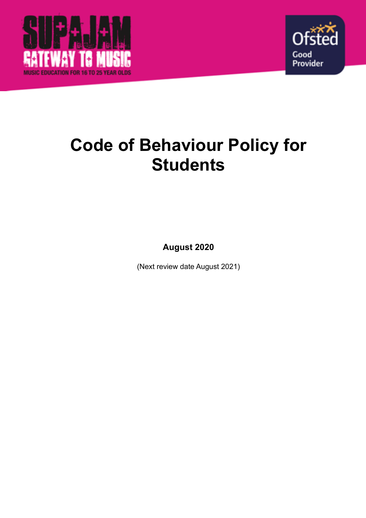



# **Code of Behaviour Policy for Students**

**August 2020** 

(Next review date August 2021)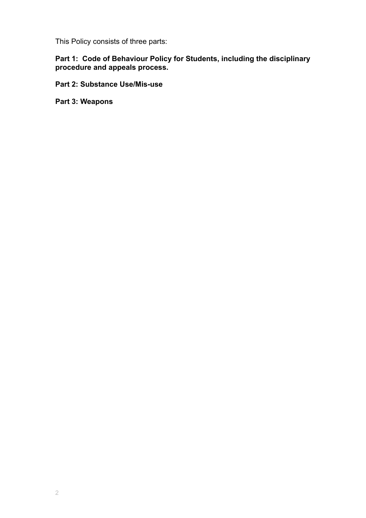This Policy consists of three parts:

**Part 1: Code of Behaviour Policy for Students, including the disciplinary procedure and appeals process.** 

**Part 2: Substance Use/Mis-use** 

**Part 3: Weapons**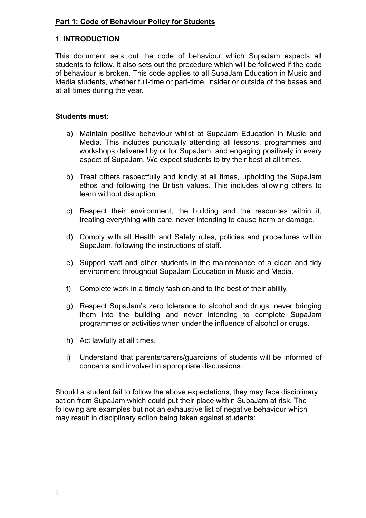# **Part 1: Code of Behaviour Policy for Students**

# 1. **INTRODUCTION**

This document sets out the code of behaviour which SupaJam expects all students to follow. It also sets out the procedure which will be followed if the code of behaviour is broken. This code applies to all SupaJam Education in Music and Media students, whether full-time or part-time, insider or outside of the bases and at all times during the year.

#### **Students must:**

- a) Maintain positive behaviour whilst at SupaJam Education in Music and Media. This includes punctually attending all lessons, programmes and workshops delivered by or for SupaJam, and engaging positively in every aspect of SupaJam. We expect students to try their best at all times.
- b) Treat others respectfully and kindly at all times, upholding the SupaJam ethos and following the British values. This includes allowing others to learn without disruption.
- c) Respect their environment, the building and the resources within it, treating everything with care, never intending to cause harm or damage.
- d) Comply with all Health and Safety rules, policies and procedures within SupaJam, following the instructions of staff.
- e) Support staff and other students in the maintenance of a clean and tidy environment throughout SupaJam Education in Music and Media.
- f) Complete work in a timely fashion and to the best of their ability.
- g) Respect SupaJam's zero tolerance to alcohol and drugs, never bringing them into the building and never intending to complete SupaJam programmes or activities when under the influence of alcohol or drugs.
- h) Act lawfully at all times.
- i) Understand that parents/carers/guardians of students will be informed of concerns and involved in appropriate discussions.

Should a student fail to follow the above expectations, they may face disciplinary action from SupaJam which could put their place within SupaJam at risk. The following are examples but not an exhaustive list of negative behaviour which may result in disciplinary action being taken against students: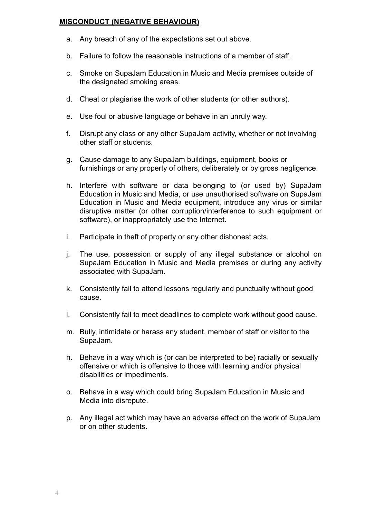#### **MISCONDUCT (NEGATIVE BEHAVIOUR)**

- a. Any breach of any of the expectations set out above.
- b. Failure to follow the reasonable instructions of a member of staff.
- c. Smoke on SupaJam Education in Music and Media premises outside of the designated smoking areas.
- d. Cheat or plagiarise the work of other students (or other authors).
- e. Use foul or abusive language or behave in an unruly way.
- f. Disrupt any class or any other SupaJam activity, whether or not involving other staff or students.
- g. Cause damage to any SupaJam buildings, equipment, books or furnishings or any property of others, deliberately or by gross negligence.
- h. Interfere with software or data belonging to (or used by) SupaJam Education in Music and Media, or use unauthorised software on SupaJam Education in Music and Media equipment, introduce any virus or similar disruptive matter (or other corruption/interference to such equipment or software), or inappropriately use the Internet.
- i. Participate in theft of property or any other dishonest acts.
- j. The use, possession or supply of any illegal substance or alcohol on SupaJam Education in Music and Media premises or during any activity associated with SupaJam.
- k. Consistently fail to attend lessons regularly and punctually without good cause.
- l. Consistently fail to meet deadlines to complete work without good cause.
- m. Bully, intimidate or harass any student, member of staff or visitor to the SupaJam.
- n. Behave in a way which is (or can be interpreted to be) racially or sexually offensive or which is offensive to those with learning and/or physical disabilities or impediments.
- o. Behave in a way which could bring SupaJam Education in Music and Media into disrepute.
- p. Any illegal act which may have an adverse effect on the work of SupaJam or on other students.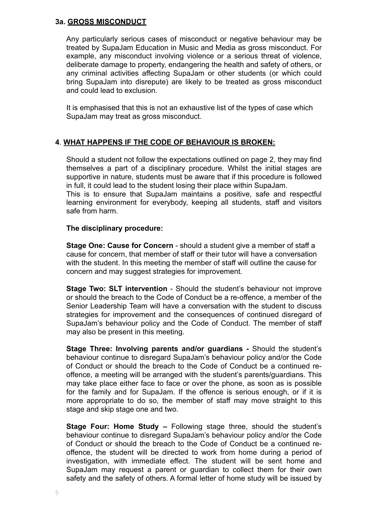#### **3a. GROSS MISCONDUCT**

Any particularly serious cases of misconduct or negative behaviour may be treated by SupaJam Education in Music and Media as gross misconduct. For example, any misconduct involving violence or a serious threat of violence, deliberate damage to property, endangering the health and safety of others, or any criminal activities affecting SupaJam or other students (or which could bring SupaJam into disrepute) are likely to be treated as gross misconduct and could lead to exclusion.

It is emphasised that this is not an exhaustive list of the types of case which SupaJam may treat as gross misconduct.

# **4**. **WHAT HAPPENS IF THE CODE OF BEHAVIOUR IS BROKEN:**

Should a student not follow the expectations outlined on page 2, they may find themselves a part of a disciplinary procedure. Whilst the initial stages are supportive in nature, students must be aware that if this procedure is followed in full, it could lead to the student losing their place within SupaJam.

This is to ensure that SupaJam maintains a positive, safe and respectful learning environment for everybody, keeping all students, staff and visitors safe from harm.

#### **The disciplinary procedure:**

**Stage One: Cause for Concern** - should a student give a member of staff a cause for concern, that member of staff or their tutor will have a conversation with the student. In this meeting the member of staff will outline the cause for concern and may suggest strategies for improvement.

**Stage Two: SLT intervention** - Should the student's behaviour not improve or should the breach to the Code of Conduct be a re-offence, a member of the Senior Leadership Team will have a conversation with the student to discuss strategies for improvement and the consequences of continued disregard of SupaJam's behaviour policy and the Code of Conduct. The member of staff may also be present in this meeting.

**Stage Three: Involving parents and/or guardians -** Should the student's behaviour continue to disregard SupaJam's behaviour policy and/or the Code of Conduct or should the breach to the Code of Conduct be a continued reoffence, a meeting will be arranged with the student's parents/guardians. This may take place either face to face or over the phone, as soon as is possible for the family and for SupaJam. If the offence is serious enough, or if it is more appropriate to do so, the member of staff may move straight to this stage and skip stage one and two.

**Stage Four: Home Study –** Following stage three, should the student's behaviour continue to disregard SupaJam's behaviour policy and/or the Code of Conduct or should the breach to the Code of Conduct be a continued reoffence, the student will be directed to work from home during a period of investigation, with immediate effect. The student will be sent home and SupaJam may request a parent or guardian to collect them for their own safety and the safety of others. A formal letter of home study will be issued by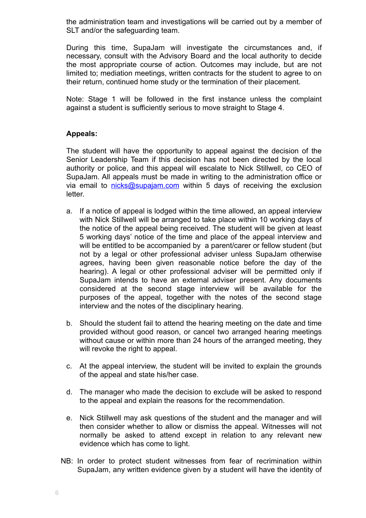the administration team and investigations will be carried out by a member of SLT and/or the safeguarding team.

During this time, SupaJam will investigate the circumstances and, if necessary, consult with the Advisory Board and the local authority to decide the most appropriate course of action. Outcomes may include, but are not limited to; mediation meetings, written contracts for the student to agree to on their return, continued home study or the termination of their placement.

Note: Stage 1 will be followed in the first instance unless the complaint against a student is sufficiently serious to move straight to Stage 4.

# **Appeals:**

The student will have the opportunity to appeal against the decision of the Senior Leadership Team if this decision has not been directed by the local authority or police, and this appeal will escalate to Nick Stillwell, co CEO of SupaJam. All appeals must be made in writing to the administration office or via email to [nicks@supajam.com](mailto:nicks@supajam.com) within 5 days of receiving the exclusion letter.

- a. If a notice of appeal is lodged within the time allowed, an appeal interview with Nick Stillwell will be arranged to take place within 10 working days of the notice of the appeal being received. The student will be given at least 5 working days' notice of the time and place of the appeal interview and will be entitled to be accompanied by a parent/carer or fellow student (but not by a legal or other professional adviser unless SupaJam otherwise agrees, having been given reasonable notice before the day of the hearing). A legal or other professional adviser will be permitted only if SupaJam intends to have an external adviser present. Any documents considered at the second stage interview will be available for the purposes of the appeal, together with the notes of the second stage interview and the notes of the disciplinary hearing.
- b. Should the student fail to attend the hearing meeting on the date and time provided without good reason, or cancel two arranged hearing meetings without cause or within more than 24 hours of the arranged meeting, they will revoke the right to appeal.
- c. At the appeal interview, the student will be invited to explain the grounds of the appeal and state his/her case.
- d. The manager who made the decision to exclude will be asked to respond to the appeal and explain the reasons for the recommendation.
- e. Nick Stillwell may ask questions of the student and the manager and will then consider whether to allow or dismiss the appeal. Witnesses will not normally be asked to attend except in relation to any relevant new evidence which has come to light.
- NB: In order to protect student witnesses from fear of recrimination within SupaJam, any written evidence given by a student will have the identity of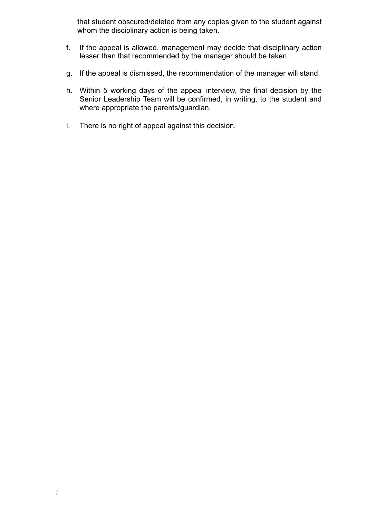that student obscured/deleted from any copies given to the student against whom the disciplinary action is being taken.

- f. If the appeal is allowed, management may decide that disciplinary action lesser than that recommended by the manager should be taken.
- g. If the appeal is dismissed, the recommendation of the manager will stand.
- h. Within 5 working days of the appeal interview, the final decision by the Senior Leadership Team will be confirmed, in writing, to the student and where appropriate the parents/guardian.
- i. There is no right of appeal against this decision.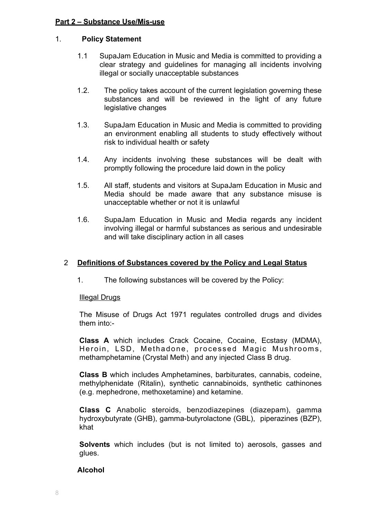#### **Part 2 – Substance Use/Mis-use**

# 1. **Policy Statement**

- 1.1 SupaJam Education in Music and Media is committed to providing a clear strategy and guidelines for managing all incidents involving illegal or socially unacceptable substances
- 1.2. The policy takes account of the current legislation governing these substances and will be reviewed in the light of any future legislative changes
- 1.3. SupaJam Education in Music and Media is committed to providing an environment enabling all students to study effectively without risk to individual health or safety
- 1.4. Any incidents involving these substances will be dealt with promptly following the procedure laid down in the policy
- 1.5. All staff, students and visitors at SupaJam Education in Music and Media should be made aware that any substance misuse is unacceptable whether or not it is unlawful
- 1.6. SupaJam Education in Music and Media regards any incident involving illegal or harmful substances as serious and undesirable and will take disciplinary action in all cases

# 2 **Definitions of Substances covered by the Policy and Legal Status**

1. The following substances will be covered by the Policy:

#### Illegal Drugs

The Misuse of Drugs Act 1971 regulates controlled drugs and divides them into:-

**Class A** which includes Crack Cocaine, Cocaine, Ecstasy (MDMA), Heroin, LSD, Methadone, processed Magic Mushrooms, methamphetamine (Crystal Meth) and any injected Class B drug.

**Class B** which includes Amphetamines, barbiturates, cannabis, codeine, methylphenidate (Ritalin), synthetic cannabinoids, synthetic cathinones (e.g. mephedrone, methoxetamine) and ketamine.

**Class C** Anabolic steroids, benzodiazepines (diazepam), gamma hydroxybutyrate (GHB), gamma-butyrolactone (GBL), piperazines (BZP), khat

**Solvents** which includes (but is not limited to) aerosols, gasses and glues.

#### **Alcohol**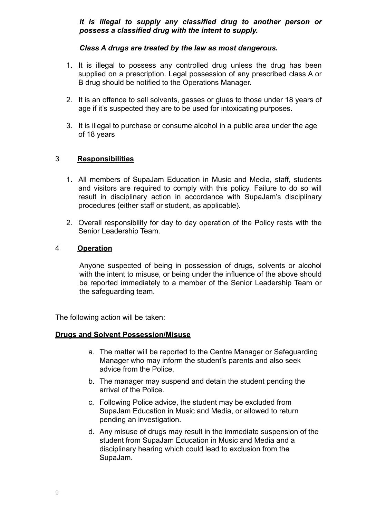#### *It is illegal to supply any classified drug to another person or possess a classified drug with the intent to supply.*

#### *Class A drugs are treated by the law as most dangerous.*

- 1. It is illegal to possess any controlled drug unless the drug has been supplied on a prescription. Legal possession of any prescribed class A or B drug should be notified to the Operations Manager.
- 2. It is an offence to sell solvents, gasses or glues to those under 18 years of age if it's suspected they are to be used for intoxicating purposes.
- 3. It is illegal to purchase or consume alcohol in a public area under the age of 18 years

# 3 **Responsibilities**

- 1. All members of SupaJam Education in Music and Media, staff, students and visitors are required to comply with this policy. Failure to do so will result in disciplinary action in accordance with SupaJam's disciplinary procedures (either staff or student, as applicable).
- 2. Overall responsibility for day to day operation of the Policy rests with the Senior Leadership Team.

# 4 **Operation**

Anyone suspected of being in possession of drugs, solvents or alcohol with the intent to misuse, or being under the influence of the above should be reported immediately to a member of the Senior Leadership Team or the safeguarding team.

The following action will be taken:

#### **Drugs and Solvent Possession/Misuse**

- a. The matter will be reported to the Centre Manager or Safeguarding Manager who may inform the student's parents and also seek advice from the Police.
- b. The manager may suspend and detain the student pending the arrival of the Police.
- c. Following Police advice, the student may be excluded from SupaJam Education in Music and Media, or allowed to return pending an investigation.
- d. Any misuse of drugs may result in the immediate suspension of the student from SupaJam Education in Music and Media and a disciplinary hearing which could lead to exclusion from the SupaJam.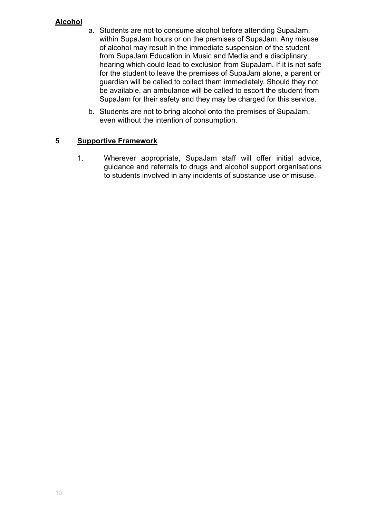# **Alcohol**

- a. Students are not to consume alcohol before attending SupaJam, within SupaJam hours or on the premises of SupaJam. Any misuse of alcohol may result in the immediate suspension of the student from SupaJam Education in Music and Media and a disciplinary hearing which could lead to exclusion from SupaJam. If it is not safe for the student to leave the premises of SupaJam alone, a parent or guardian will be called to collect them immediately. Should they not be available, an ambulance will be called to escort the student from SupaJam for their safety and they may be charged for this service.
- b. Students are not to bring alcohol onto the premises of SupaJam, even without the intention of consumption.

# **5 Supportive Framework**

1. Wherever appropriate, SupaJam staff will offer initial advice, guidance and referrals to drugs and alcohol support organisations to students involved in any incidents of substance use or misuse.